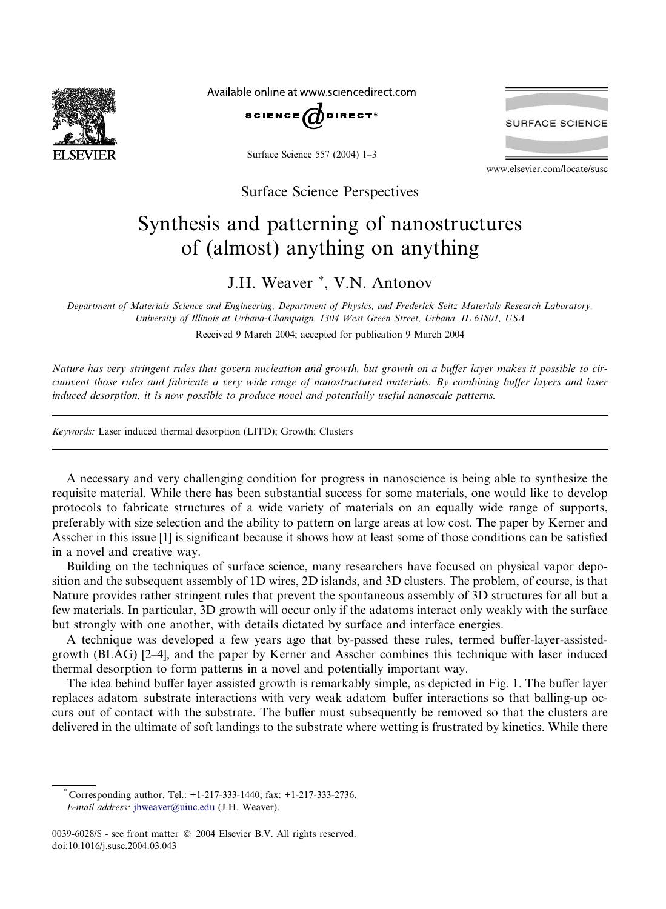

Available online at www.sciencedirect.com



Surface Science 557 (2004) 1–3



www.elsevier.com/locate/susc

Surface Science Perspectives

## Synthesis and patterning of nanostructures of (almost) anything on anything

## J.H. Weaver \*, V.N. Antonov

Department of Materials Science and Engineering, Department of Physics, and Frederick Seitz Materials Research Laboratory, University of Illinois at Urbana-Champaign, 1304 West Green Street, Urbana, IL 61801, USA

Received 9 March 2004; accepted for publication 9 March 2004

Nature has very stringent rules that govern nucleation and growth, but growth on a buffer layer makes it possible to circumvent those rules and fabricate a very wide range of nanostructured materials. By combining buffer layers and laser induced desorption, it is now possible to produce novel and potentially useful nanoscale patterns.

Keywords: Laser induced thermal desorption (LITD); Growth; Clusters

A necessary and very challenging condition for progress in nanoscience is being able to synthesize the requisite material. While there has been substantial success for some materials, one would like to develop protocols to fabricate structures of a wide variety of materials on an equally wide range of supports, preferably with size selection and the ability to pattern on large areas at low cost. The paper by Kerner and Asscher in this issue [1] is significant because it shows how at least some of those conditions can be satisfied in a novel and creative way.

Building on the techniques of surface science, many researchers have focused on physical vapor deposition and the subsequent assembly of 1D wires, 2D islands, and 3D clusters. The problem, of course, is that Nature provides rather stringent rules that prevent the spontaneous assembly of 3D structures for all but a few materials. In particular, 3D growth will occur only if the adatoms interact only weakly with the surface but strongly with one another, with details dictated by surface and interface energies.

A technique was developed a few years ago that by-passed these rules, termed buffer-layer-assistedgrowth (BLAG) [2–4], and the paper by Kerner and Asscher combines this technique with laser induced thermal desorption to form patterns in a novel and potentially important way.

The idea behind buffer layer assisted growth is remarkably simple, as depicted in Fig. 1. The buffer layer replaces adatom–substrate interactions with very weak adatom–buffer interactions so that balling-up occurs out of contact with the substrate. The buffer must subsequently be removed so that the clusters are delivered in the ultimate of soft landings to the substrate where wetting is frustrated by kinetics. While there

<sup>\*</sup> Corresponding author. Tel.: +1-217-333-1440; fax: +1-217-333-2736. E-mail address: [jhweaver@uiuc.edu](mail to: jhweaver@uiuc.edu) (J.H. Weaver).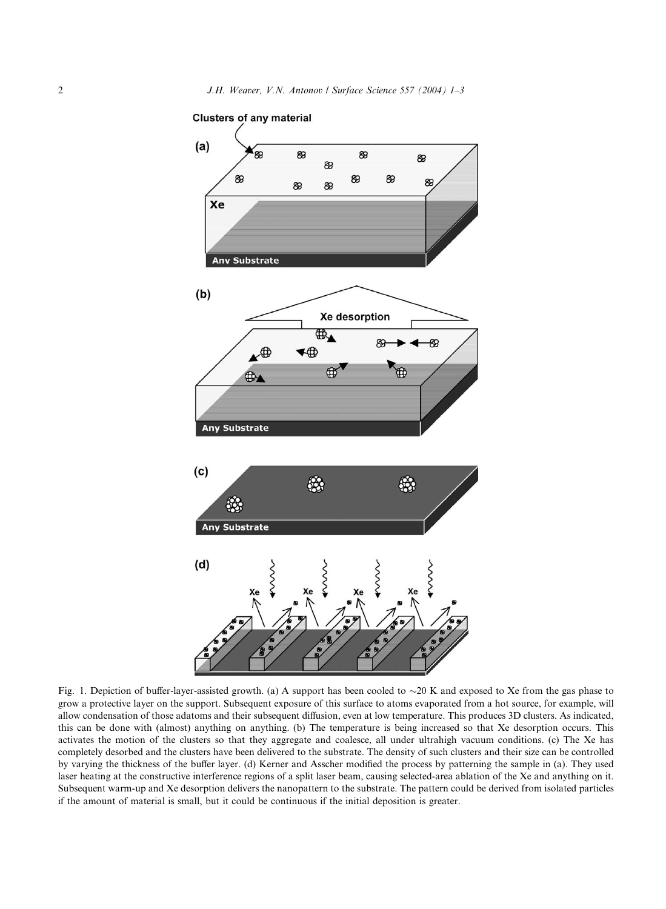

Fig. 1. Depiction of buffer-layer-assisted growth. (a) A support has been cooled to  $\sim$ 20 K and exposed to Xe from the gas phase to grow a protective layer on the support. Subsequent exposure of this surface to atoms evaporated from a hot source, for example, will allow condensation of those adatoms and their subsequent diffusion, even at low temperature. This produces 3D clusters. As indicated, this can be done with (almost) anything on anything. (b) The temperature is being increased so that Xe desorption occurs. This activates the motion of the clusters so that they aggregate and coalesce, all under ultrahigh vacuum conditions. (c) The Xe has completely desorbed and the clusters have been delivered to the substrate. The density of such clusters and their size can be controlled by varying the thickness of the buffer layer. (d) Kerner and Asscher modified the process by patterning the sample in (a). They used laser heating at the constructive interference regions of a split laser beam, causing selected-area ablation of the Xe and anything on it. Subsequent warm-up and Xe desorption delivers the nanopattern to the substrate. The pattern could be derived from isolated particles if the amount of material is small, but it could be continuous if the initial deposition is greater.